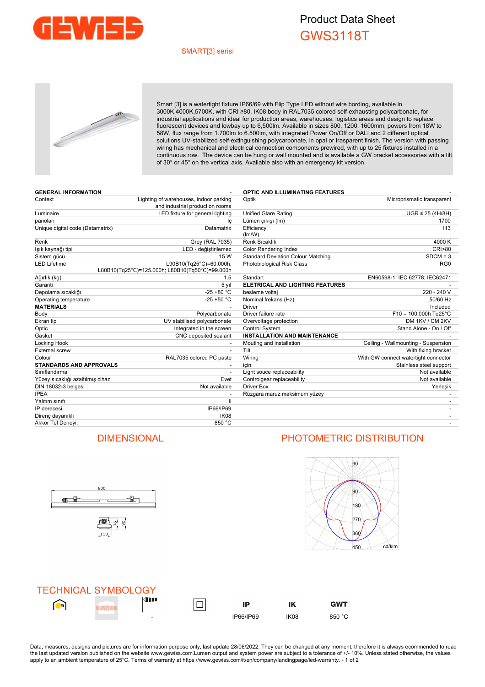

## Product Data Sheet GWS3118T

### SMART[3] serisi



Smart [3] is a watertight fixture IP66/69 with Flip Type LED without wire bording, available in 3000K,4000K,5700K, with CRI ≥80. IK08 body in RAL7035 colored self-exhausting polycarbonate, for industrial applications and ideal for production areas, warehouses, logistics areas and design to replace fluorescent devices and lowbay up to 6,500lm. Available in sizes 800, 1200, 1600mm, powers from 18W to 58W, flux range from 1.700lm to 6.500lm, with integrated Power On/Off or DALI and 2 different optical solutions UV-stabilized self-extinguishing polycarbonate, in opal or trasparent finish. The version with passing wiring has mechanical and electrical connection components prewired, with up to 25 fixtures installed in a continuous row. The device can be hung or wall mounted and is available a GW bracket accessories with a tilt of 30° or 45° on the vertical axis. Available also with an emergency kit version.

| <b>GENERAL INFORMATION</b>       |                                                                            | <b>OPTIC AND ILLUMINATING FEATURES</b>    |                                      |
|----------------------------------|----------------------------------------------------------------------------|-------------------------------------------|--------------------------------------|
| Context                          | Lighting of warehouses, indoor parking<br>and industrial production rooms  | Optik                                     | Microprismatic transparent           |
| Luminaire                        | LED fixture for general lighting                                           | <b>Unified Glare Rating</b>               | $UGR \leq 25$ (4H/8H)                |
| panoları                         | Ιc                                                                         | Lümen çıkışı (Im)                         | 1700                                 |
| Unique digital code (Datamatrix) | Datamatrix                                                                 | Efficiency<br>(lm/W)                      | 113                                  |
| Renk                             | Grey (RAL 7035)                                                            | <b>Renk Sıcaklık</b>                      | 4000 K                               |
| lşık kaynağı tipi                | LED - değiştirilemez                                                       | Color Rendering Index                     | <b>CRI&gt;80</b>                     |
| Sistem gücü                      | 15 W                                                                       | <b>Standard Deviation Colour Matching</b> | $SDCM = 3$                           |
| <b>LED Lifetime</b>              | L90B10(Tq25°C)=60.000h;<br>L80B10(Tq25°C)=125.000h; L80B10(Tq50°C)=99.000h | Photobiological Risk Class                | RG <sub>0</sub>                      |
| Ağırlık (kg)                     | 1.5                                                                        | Standart                                  | EN60598-1; IEC 62778; IEC62471       |
| Garanti                          | 5 yıl                                                                      | ELETRICAL AND LIGHTING FEATURES           |                                      |
| Depolama sıcaklığı               | $-25 + 80 °C$                                                              | besleme voltaj                            | 220 - 240 V                          |
| Operating temperature            | $-25 + 50 °C$                                                              | Nominal frekans (Hz)                      | 50/60 Hz                             |
| <b>MATERIALS</b>                 |                                                                            | <b>Driver</b>                             | Included                             |
| Body                             | Polycarbonate                                                              | Driver failure rate                       | $F10 = 100.000h$ Tg25°C              |
| Ekran tipi                       | UV stabilised polycarbonate                                                | Overvoltage protection                    | DM 1KV / CM 2KV                      |
| Optic                            | Integrated in the screen                                                   | <b>Control System</b>                     | Stand Alone - On / Off               |
| Gasket                           | CNC deposited sealant                                                      | <b>INSTALLATION AND MAINTENANCE</b>       |                                      |
| Locking Hook                     |                                                                            | Mouting and installation                  | Ceiling - Wallmounting - Suspension  |
| <b>External screw</b>            |                                                                            | Tilt                                      | With fixing bracket                  |
| Colour                           | RAL7035 colored PC paste                                                   | Wiring                                    | With GW connect watertight connector |
| <b>STANDARDS AND APPROVALS</b>   |                                                                            | icin                                      | Stainless steel support              |
| Sınıflandırma                    |                                                                            | Light souce replaceability                | Not available                        |
| Yüzey sıcaklığı azaltılmış cihaz | Evet                                                                       | Controlgear replaceability                | Not available                        |
| DIN 18032-3 belgesi              | Not available                                                              | <b>Driver Box</b>                         | Yerleşik                             |
| <b>IPEA</b>                      |                                                                            | Rüzgara maruz maksimum yüzey              |                                      |
| Yalıtım sınıfı                   | $\mathbf{I}$                                                               |                                           |                                      |
| IP derecesi                      | IP66/IP69                                                                  |                                           |                                      |
| Direnç dayanıklı                 | IK08                                                                       |                                           |                                      |
| Akkor Tel Deneyi:                | 850 °C                                                                     |                                           |                                      |



## DIMENSIONAL PHOTOMETRIC DISTRIBUTION



**GWT** 



Data, measures, designs and pictures are for information purpose only, last update 28/06/2022. They can be changed at any moment, therefore it is always ecommended to read the last updated version published on the website www.gewiss.com.Lumen output and system power are subject to a tolerance of +/- 10%. Unless stated otherwise, the values apply to an ambient temperature of 25°C. Terms of warranty at https://www.gewiss.com/it/en/company/landingpage/led-warranty. - 1 of 2